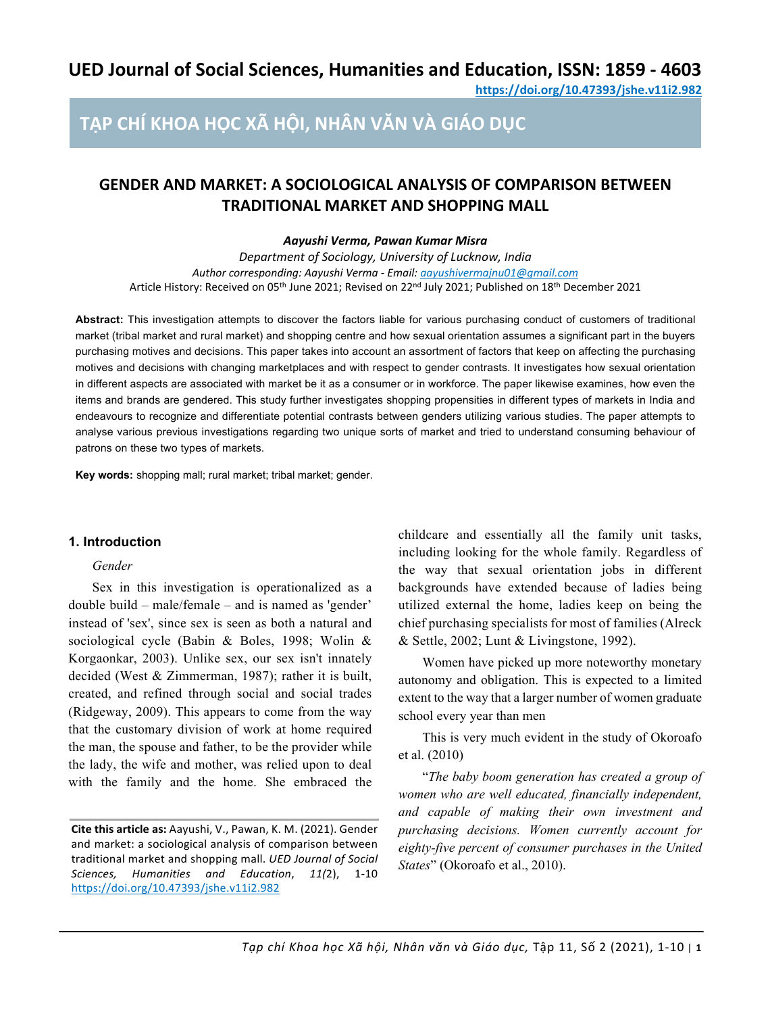**https://doi.org/10.47393/jshe.v11i2.982**

# **TẠP CHÍ KHOA HỌC XÃ HỘI, NHÂN VĂN VÀ GIÁO DỤC**

# **GENDER AND MARKET: A SOCIOLOGICAL ANALYSIS OF COMPARISON BETWEEN TRADITIONAL MARKET AND SHOPPING MALL**

# *Aayushi Verma, Pawan Kumar Misra*

*Department of Sociology, University of Lucknow, India Author corresponding: Aayushi Verma - Email: aayushivermajnu01@gmail.com* Article History: Received on 05th June 2021; Revised on 22nd July 2021; Published on 18th December 2021

**Abstract:** This investigation attempts to discover the factors liable for various purchasing conduct of customers of traditional market (tribal market and rural market) and shopping centre and how sexual orientation assumes a significant part in the buyers purchasing motives and decisions. This paper takes into account an assortment of factors that keep on affecting the purchasing motives and decisions with changing marketplaces and with respect to gender contrasts. It investigates how sexual orientation in different aspects are associated with market be it as a consumer or in workforce. The paper likewise examines, how even the items and brands are gendered. This study further investigates shopping propensities in different types of markets in India and endeavours to recognize and differentiate potential contrasts between genders utilizing various studies. The paper attempts to analyse various previous investigations regarding two unique sorts of market and tried to understand consuming behaviour of patrons on these two types of markets.

**Key words:** shopping mall; rural market; tribal market; gender.

## **1. Introduction**

#### *Gender*

Sex in this investigation is operationalized as a double build – male/female – and is named as 'gender' instead of 'sex', since sex is seen as both a natural and sociological cycle (Babin & Boles, 1998; Wolin & Korgaonkar, 2003). Unlike sex, our sex isn't innately decided (West & Zimmerman, 1987); rather it is built, created, and refined through social and social trades (Ridgeway, 2009). This appears to come from the way that the customary division of work at home required the man, the spouse and father, to be the provider while the lady, the wife and mother, was relied upon to deal with the family and the home. She embraced the

**Cite this article as:** Aayushi, V., Pawan, K. M. (2021). Gender and market: a sociological analysis of comparison between traditional market and shopping mall. *UED Journal of Social Sciences, Humanities and Education*, *11(*2), 1-10 https://doi.org/10.47393/jshe.v11i2.982

childcare and essentially all the family unit tasks, including looking for the whole family. Regardless of the way that sexual orientation jobs in different backgrounds have extended because of ladies being utilized external the home, ladies keep on being the chief purchasing specialists for most of families (Alreck & Settle, 2002; Lunt & Livingstone, 1992).

Women have picked up more noteworthy monetary autonomy and obligation. This is expected to a limited extent to the way that a larger number of women graduate school every year than men

This is very much evident in the study of Okoroafo et al. (2010)

"*The baby boom generation has created a group of women who are well educated, financially independent, and capable of making their own investment and purchasing decisions. Women currently account for eighty-five percent of consumer purchases in the United States*" (Okoroafo et al., 2010).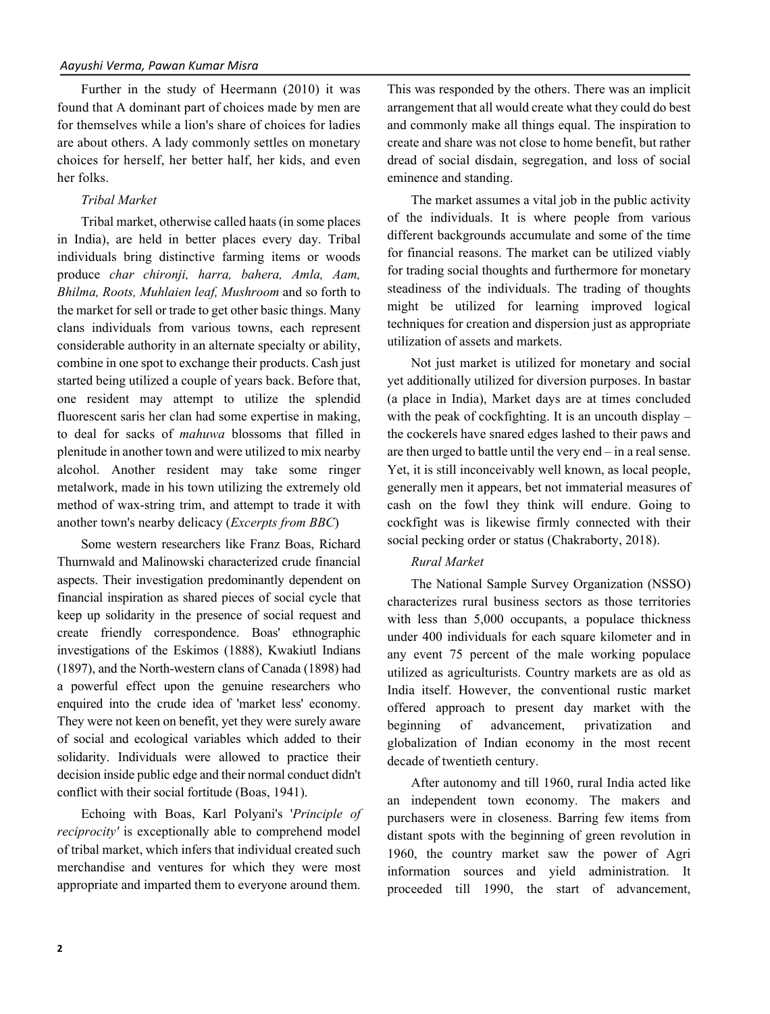Further in the study of Heermann (2010) it was found that A dominant part of choices made by men are for themselves while a lion's share of choices for ladies are about others. A lady commonly settles on monetary choices for herself, her better half, her kids, and even her folks.

# *Tribal Market*

Tribal market, otherwise called haats (in some places in India), are held in better places every day. Tribal individuals bring distinctive farming items or woods produce *char chironji, harra, bahera, Amla, Aam, Bhilma, Roots, Muhlaien leaf, Mushroom* and so forth to the market for sell or trade to get other basic things. Many clans individuals from various towns, each represent considerable authority in an alternate specialty or ability, combine in one spot to exchange their products. Cash just started being utilized a couple of years back. Before that, one resident may attempt to utilize the splendid fluorescent saris her clan had some expertise in making, to deal for sacks of *mahuwa* blossoms that filled in plenitude in another town and were utilized to mix nearby alcohol. Another resident may take some ringer metalwork, made in his town utilizing the extremely old method of wax-string trim, and attempt to trade it with another town's nearby delicacy (*Excerpts from BBC*)

Some western researchers like Franz Boas, Richard Thurnwald and Malinowski characterized crude financial aspects. Their investigation predominantly dependent on financial inspiration as shared pieces of social cycle that keep up solidarity in the presence of social request and create friendly correspondence. Boas' ethnographic investigations of the Eskimos (1888), Kwakiutl Indians (1897), and the North-western clans of Canada (1898) had a powerful effect upon the genuine researchers who enquired into the crude idea of 'market less' economy. They were not keen on benefit, yet they were surely aware of social and ecological variables which added to their solidarity. Individuals were allowed to practice their decision inside public edge and their normal conduct didn't conflict with their social fortitude (Boas, 1941).

Echoing with Boas, Karl Polyani's '*Principle of reciprocity'* is exceptionally able to comprehend model of tribal market, which infers that individual created such merchandise and ventures for which they were most appropriate and imparted them to everyone around them.

This was responded by the others. There was an implicit arrangement that all would create what they could do best and commonly make all things equal. The inspiration to create and share was not close to home benefit, but rather dread of social disdain, segregation, and loss of social eminence and standing.

The market assumes a vital job in the public activity of the individuals. It is where people from various different backgrounds accumulate and some of the time for financial reasons. The market can be utilized viably for trading social thoughts and furthermore for monetary steadiness of the individuals. The trading of thoughts might be utilized for learning improved logical techniques for creation and dispersion just as appropriate utilization of assets and markets.

Not just market is utilized for monetary and social yet additionally utilized for diversion purposes. In bastar (a place in India), Market days are at times concluded with the peak of cockfighting. It is an uncouth display – the cockerels have snared edges lashed to their paws and are then urged to battle until the very end – in a real sense. Yet, it is still inconceivably well known, as local people, generally men it appears, bet not immaterial measures of cash on the fowl they think will endure. Going to cockfight was is likewise firmly connected with their social pecking order or status (Chakraborty, 2018).

# *Rural Market*

The National Sample Survey Organization (NSSO) characterizes rural business sectors as those territories with less than 5,000 occupants, a populace thickness under 400 individuals for each square kilometer and in any event 75 percent of the male working populace utilized as agriculturists. Country markets are as old as India itself. However, the conventional rustic market offered approach to present day market with the beginning of advancement, privatization and globalization of Indian economy in the most recent decade of twentieth century.

After autonomy and till 1960, rural India acted like an independent town economy. The makers and purchasers were in closeness. Barring few items from distant spots with the beginning of green revolution in 1960, the country market saw the power of Agri information sources and yield administration. It proceeded till 1990, the start of advancement,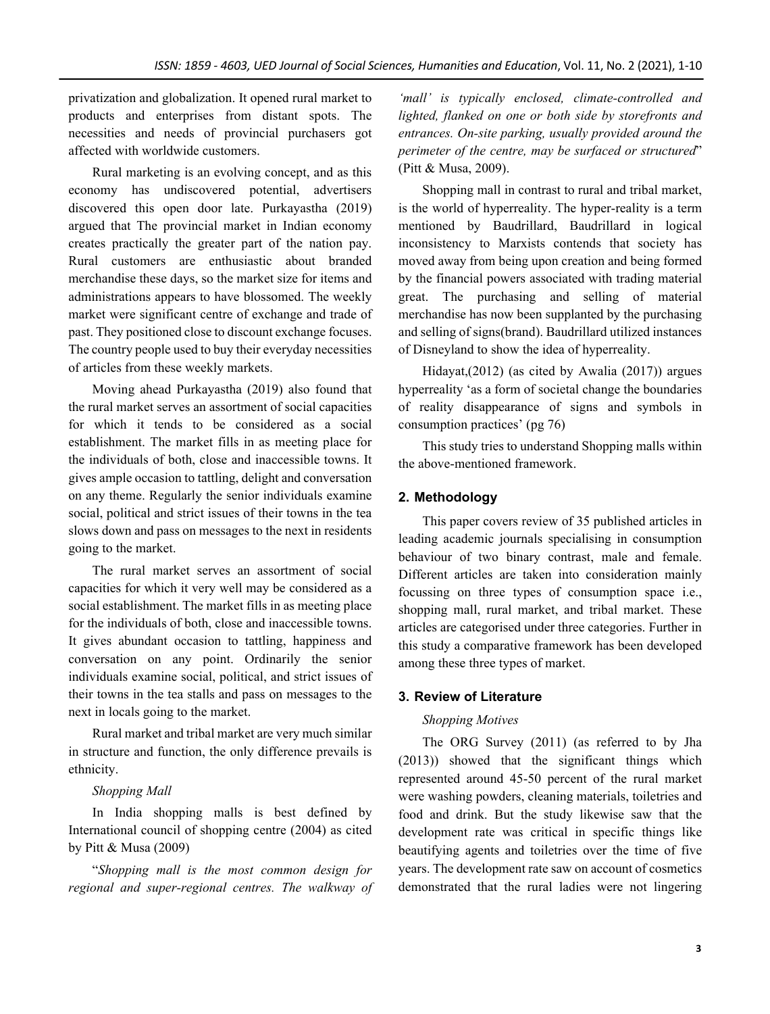privatization and globalization. It opened rural market to products and enterprises from distant spots. The necessities and needs of provincial purchasers got affected with worldwide customers.

Rural marketing is an evolving concept, and as this economy has undiscovered potential, advertisers discovered this open door late. Purkayastha (2019) argued that The provincial market in Indian economy creates practically the greater part of the nation pay. Rural customers are enthusiastic about branded merchandise these days, so the market size for items and administrations appears to have blossomed. The weekly market were significant centre of exchange and trade of past. They positioned close to discount exchange focuses. The country people used to buy their everyday necessities of articles from these weekly markets.

Moving ahead Purkayastha (2019) also found that the rural market serves an assortment of social capacities for which it tends to be considered as a social establishment. The market fills in as meeting place for the individuals of both, close and inaccessible towns. It gives ample occasion to tattling, delight and conversation on any theme. Regularly the senior individuals examine social, political and strict issues of their towns in the tea slows down and pass on messages to the next in residents going to the market.

The rural market serves an assortment of social capacities for which it very well may be considered as a social establishment. The market fills in as meeting place for the individuals of both, close and inaccessible towns. It gives abundant occasion to tattling, happiness and conversation on any point. Ordinarily the senior individuals examine social, political, and strict issues of their towns in the tea stalls and pass on messages to the next in locals going to the market.

Rural market and tribal market are very much similar in structure and function, the only difference prevails is ethnicity.

#### *Shopping Mall*

In India shopping malls is best defined by International council of shopping centre (2004) as cited by Pitt & Musa (2009)

"*Shopping mall is the most common design for regional and super-regional centres. The walkway of* 

*'mall' is typically enclosed, climate-controlled and lighted, flanked on one or both side by storefronts and entrances. On-site parking, usually provided around the perimeter of the centre, may be surfaced or structured*" (Pitt & Musa, 2009).

Shopping mall in contrast to rural and tribal market, is the world of hyperreality. The hyper-reality is a term mentioned by Baudrillard, Baudrillard in logical inconsistency to Marxists contends that society has moved away from being upon creation and being formed by the financial powers associated with trading material great. The purchasing and selling of material merchandise has now been supplanted by the purchasing and selling of signs(brand). Baudrillard utilized instances of Disneyland to show the idea of hyperreality.

Hidayat,(2012) (as cited by Awalia (2017)) argues hyperreality 'as a form of societal change the boundaries of reality disappearance of signs and symbols in consumption practices' (pg 76)

This study tries to understand Shopping malls within the above-mentioned framework.

# **2. Methodology**

This paper covers review of 35 published articles in leading academic journals specialising in consumption behaviour of two binary contrast, male and female. Different articles are taken into consideration mainly focussing on three types of consumption space i.e., shopping mall, rural market, and tribal market. These articles are categorised under three categories. Further in this study a comparative framework has been developed among these three types of market.

## **3. Review of Literature**

#### *Shopping Motives*

The ORG Survey (2011) (as referred to by Jha (2013)) showed that the significant things which represented around 45-50 percent of the rural market were washing powders, cleaning materials, toiletries and food and drink. But the study likewise saw that the development rate was critical in specific things like beautifying agents and toiletries over the time of five years. The development rate saw on account of cosmetics demonstrated that the rural ladies were not lingering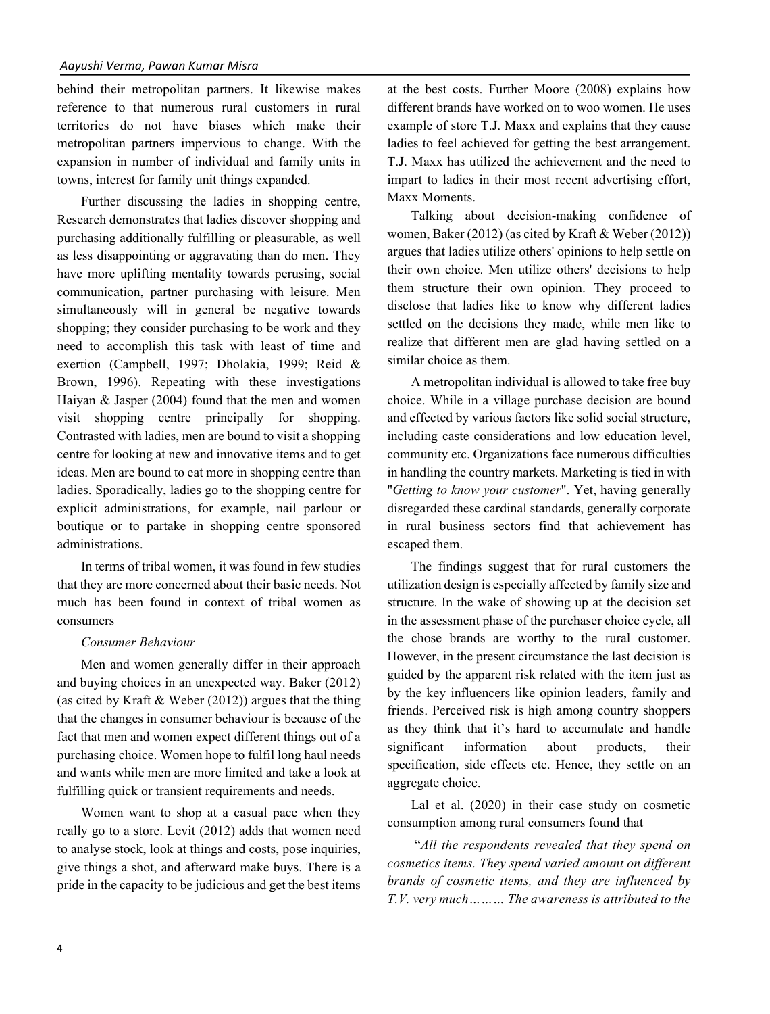behind their metropolitan partners. It likewise makes reference to that numerous rural customers in rural territories do not have biases which make their metropolitan partners impervious to change. With the expansion in number of individual and family units in towns, interest for family unit things expanded.

Further discussing the ladies in shopping centre, Research demonstrates that ladies discover shopping and purchasing additionally fulfilling or pleasurable, as well as less disappointing or aggravating than do men. They have more uplifting mentality towards perusing, social communication, partner purchasing with leisure. Men simultaneously will in general be negative towards shopping; they consider purchasing to be work and they need to accomplish this task with least of time and exertion (Campbell, 1997; Dholakia, 1999; Reid & Brown, 1996). Repeating with these investigations Haiyan & Jasper (2004) found that the men and women visit shopping centre principally for shopping. Contrasted with ladies, men are bound to visit a shopping centre for looking at new and innovative items and to get ideas. Men are bound to eat more in shopping centre than ladies. Sporadically, ladies go to the shopping centre for explicit administrations, for example, nail parlour or boutique or to partake in shopping centre sponsored administrations.

In terms of tribal women, it was found in few studies that they are more concerned about their basic needs. Not much has been found in context of tribal women as consumers

#### *Consumer Behaviour*

Men and women generally differ in their approach and buying choices in an unexpected way. Baker (2012) (as cited by Kraft  $&$  Weber (2012)) argues that the thing that the changes in consumer behaviour is because of the fact that men and women expect different things out of a purchasing choice. Women hope to fulfil long haul needs and wants while men are more limited and take a look at fulfilling quick or transient requirements and needs.

Women want to shop at a casual pace when they really go to a store. Levit (2012) adds that women need to analyse stock, look at things and costs, pose inquiries, give things a shot, and afterward make buys. There is a pride in the capacity to be judicious and get the best items

at the best costs. Further Moore (2008) explains how different brands have worked on to woo women. He uses example of store T.J. Maxx and explains that they cause ladies to feel achieved for getting the best arrangement. T.J. Maxx has utilized the achievement and the need to impart to ladies in their most recent advertising effort, Maxx Moments.

Talking about decision-making confidence of women, Baker (2012) (as cited by Kraft & Weber (2012)) argues that ladies utilize others' opinions to help settle on their own choice. Men utilize others' decisions to help them structure their own opinion. They proceed to disclose that ladies like to know why different ladies settled on the decisions they made, while men like to realize that different men are glad having settled on a similar choice as them.

A metropolitan individual is allowed to take free buy choice. While in a village purchase decision are bound and effected by various factors like solid social structure, including caste considerations and low education level, community etc. Organizations face numerous difficulties in handling the country markets. Marketing is tied in with "*Getting to know your customer*". Yet, having generally disregarded these cardinal standards, generally corporate in rural business sectors find that achievement has escaped them.

The findings suggest that for rural customers the utilization design is especially affected by family size and structure. In the wake of showing up at the decision set in the assessment phase of the purchaser choice cycle, all the chose brands are worthy to the rural customer. However, in the present circumstance the last decision is guided by the apparent risk related with the item just as by the key influencers like opinion leaders, family and friends. Perceived risk is high among country shoppers as they think that it's hard to accumulate and handle significant information about products, their specification, side effects etc. Hence, they settle on an aggregate choice.

Lal et al. (2020) in their case study on cosmetic consumption among rural consumers found that

"*All the respondents revealed that they spend on cosmetics items. They spend varied amount on different brands of cosmetic items, and they are influenced by T.V. very much……… The awareness is attributed to the*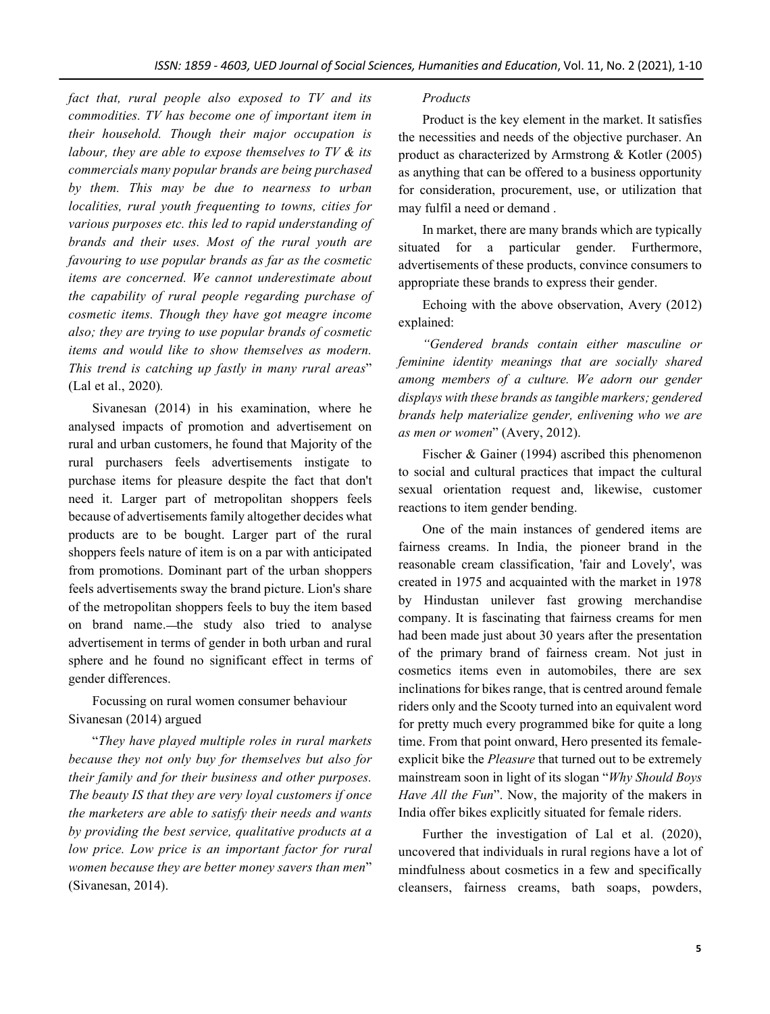*fact that, rural people also exposed to TV and its commodities. TV has become one of important item in their household. Though their major occupation is labour, they are able to expose themselves to TV & its commercials many popular brands are being purchased by them. This may be due to nearness to urban localities, rural youth frequenting to towns, cities for various purposes etc. this led to rapid understanding of brands and their uses. Most of the rural youth are favouring to use popular brands as far as the cosmetic items are concerned. We cannot underestimate about the capability of rural people regarding purchase of cosmetic items. Though they have got meagre income also; they are trying to use popular brands of cosmetic items and would like to show themselves as modern. This trend is catching up fastly in many rural areas*" (Lal et al., 2020)*.*

Sivanesan (2014) in his examination, where he analysed impacts of promotion and advertisement on rural and urban customers, he found that Majority of the rural purchasers feels advertisements instigate to purchase items for pleasure despite the fact that don't need it. Larger part of metropolitan shoppers feels because of advertisements family altogether decides what products are to be bought. Larger part of the rural shoppers feels nature of item is on a par with anticipated from promotions. Dominant part of the urban shoppers feels advertisements sway the brand picture. Lion's share of the metropolitan shoppers feels to buy the item based on brand name.—the study also tried to analyse advertisement in terms of gender in both urban and rural sphere and he found no significant effect in terms of gender differences.

Focussing on rural women consumer behaviour Sivanesan (2014) argued

"*They have played multiple roles in rural markets because they not only buy for themselves but also for their family and for their business and other purposes. The beauty IS that they are very loyal customers if once the marketers are able to satisfy their needs and wants by providing the best service, qualitative products at a low price. Low price is an important factor for rural women because they are better money savers than men*" (Sivanesan, 2014).

# *Products*

Product is the key element in the market. It satisfies the necessities and needs of the objective purchaser. An product as characterized by Armstrong & Kotler (2005) as anything that can be offered to a business opportunity for consideration, procurement, use, or utilization that may fulfil a need or demand .

In market, there are many brands which are typically situated for a particular gender. Furthermore, advertisements of these products, convince consumers to appropriate these brands to express their gender.

Echoing with the above observation, Avery (2012) explained:

*"Gendered brands contain either masculine or feminine identity meanings that are socially shared among members of a culture. We adorn our gender displays with these brands as tangible markers; gendered brands help materialize gender, enlivening who we are as men or women*" (Avery, 2012).

Fischer & Gainer (1994) ascribed this phenomenon to social and cultural practices that impact the cultural sexual orientation request and, likewise, customer reactions to item gender bending.

One of the main instances of gendered items are fairness creams. In India, the pioneer brand in the reasonable cream classification, 'fair and Lovely', was created in 1975 and acquainted with the market in 1978 by Hindustan unilever fast growing merchandise company. It is fascinating that fairness creams for men had been made just about 30 years after the presentation of the primary brand of fairness cream. Not just in cosmetics items even in automobiles, there are sex inclinations for bikes range, that is centred around female riders only and the Scooty turned into an equivalent word for pretty much every programmed bike for quite a long time. From that point onward, Hero presented its femaleexplicit bike the *Pleasure* that turned out to be extremely mainstream soon in light of its slogan "*Why Should Boys Have All the Fun*". Now, the majority of the makers in India offer bikes explicitly situated for female riders.

Further the investigation of Lal et al. (2020), uncovered that individuals in rural regions have a lot of mindfulness about cosmetics in a few and specifically cleansers, fairness creams, bath soaps, powders,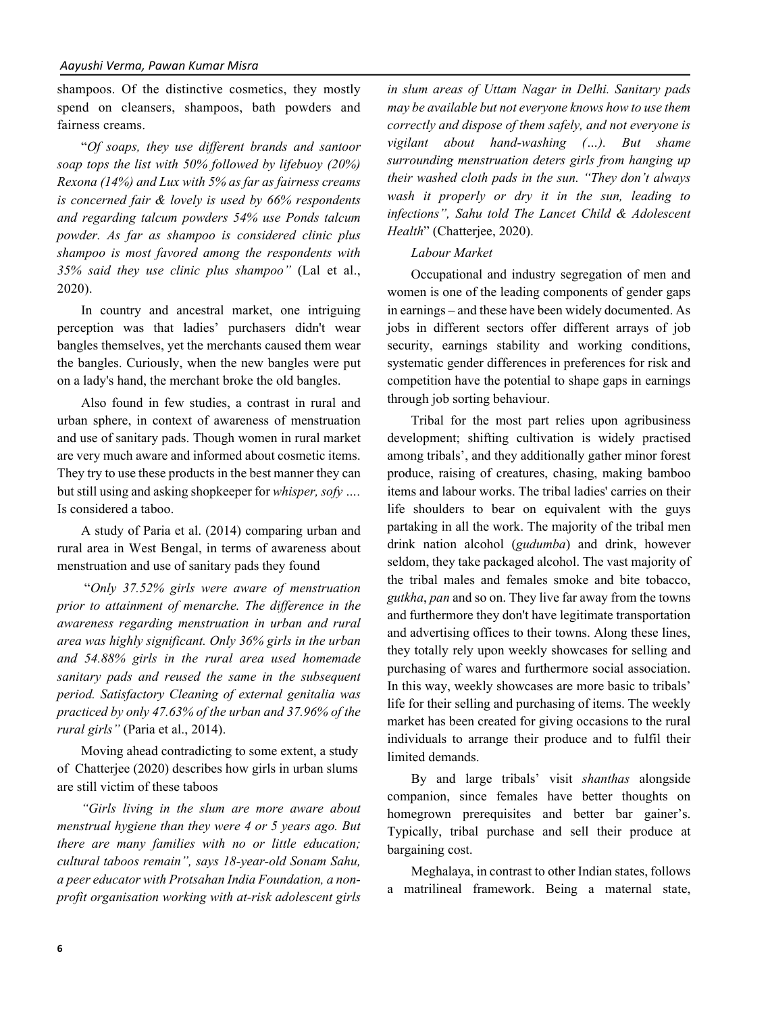shampoos. Of the distinctive cosmetics, they mostly spend on cleansers, shampoos, bath powders and fairness creams.

"*Of soaps, they use different brands and santoor soap tops the list with 50% followed by lifebuoy (20%) Rexona (14%) and Lux with 5% as far as fairness creams is concerned fair & lovely is used by 66% respondents and regarding talcum powders 54% use Ponds talcum powder. As far as shampoo is considered clinic plus shampoo is most favored among the respondents with 35% said they use clinic plus shampoo"* (Lal et al., 2020).

In country and ancestral market, one intriguing perception was that ladies' purchasers didn't wear bangles themselves, yet the merchants caused them wear the bangles. Curiously, when the new bangles were put on a lady's hand, the merchant broke the old bangles.

Also found in few studies, a contrast in rural and urban sphere, in context of awareness of menstruation and use of sanitary pads. Though women in rural market are very much aware and informed about cosmetic items. They try to use these products in the best manner they can but still using and asking shopkeeper for *whisper, sofy ….* Is considered a taboo.

A study of Paria et al. (2014) comparing urban and rural area in West Bengal, in terms of awareness about menstruation and use of sanitary pads they found

"*Only 37.52% girls were aware of menstruation prior to attainment of menarche. The difference in the awareness regarding menstruation in urban and rural area was highly significant. Only 36% girls in the urban and 54.88% girls in the rural area used homemade sanitary pads and reused the same in the subsequent period. Satisfactory Cleaning of external genitalia was practiced by only 47.63% of the urban and 37.96% of the rural girls"* (Paria et al., 2014).

Moving ahead contradicting to some extent, a study of Chatterjee (2020) describes how girls in urban slums are still victim of these taboos

*"Girls living in the slum are more aware about menstrual hygiene than they were 4 or 5 years ago. But there are many families with no or little education; cultural taboos remain", says 18-year-old Sonam Sahu, a peer educator with Protsahan India Foundation, a nonprofit organisation working with at-risk adolescent girls* 

*in slum areas of Uttam Nagar in Delhi. Sanitary pads may be available but not everyone knows how to use them correctly and dispose of them safely, and not everyone is vigilant about hand-washing (…). But shame surrounding menstruation deters girls from hanging up their washed cloth pads in the sun. "They don't always wash it properly or dry it in the sun, leading to infections", Sahu told The Lancet Child & Adolescent Health*" (Chatterjee, 2020).

#### *Labour Market*

Occupational and industry segregation of men and women is one of the leading components of gender gaps in earnings – and these have been widely documented. As jobs in different sectors offer different arrays of job security, earnings stability and working conditions, systematic gender differences in preferences for risk and competition have the potential to shape gaps in earnings through job sorting behaviour.

Tribal for the most part relies upon agribusiness development; shifting cultivation is widely practised among tribals', and they additionally gather minor forest produce, raising of creatures, chasing, making bamboo items and labour works. The tribal ladies' carries on their life shoulders to bear on equivalent with the guys partaking in all the work. The majority of the tribal men drink nation alcohol (*gudumba*) and drink, however seldom, they take packaged alcohol. The vast majority of the tribal males and females smoke and bite tobacco, *gutkha*, *pan* and so on. They live far away from the towns and furthermore they don't have legitimate transportation and advertising offices to their towns. Along these lines, they totally rely upon weekly showcases for selling and purchasing of wares and furthermore social association. In this way, weekly showcases are more basic to tribals' life for their selling and purchasing of items. The weekly market has been created for giving occasions to the rural individuals to arrange their produce and to fulfil their limited demands.

By and large tribals' visit *shanthas* alongside companion, since females have better thoughts on homegrown prerequisites and better bar gainer's. Typically, tribal purchase and sell their produce at bargaining cost.

Meghalaya, in contrast to other Indian states, follows a matrilineal framework. Being a maternal state,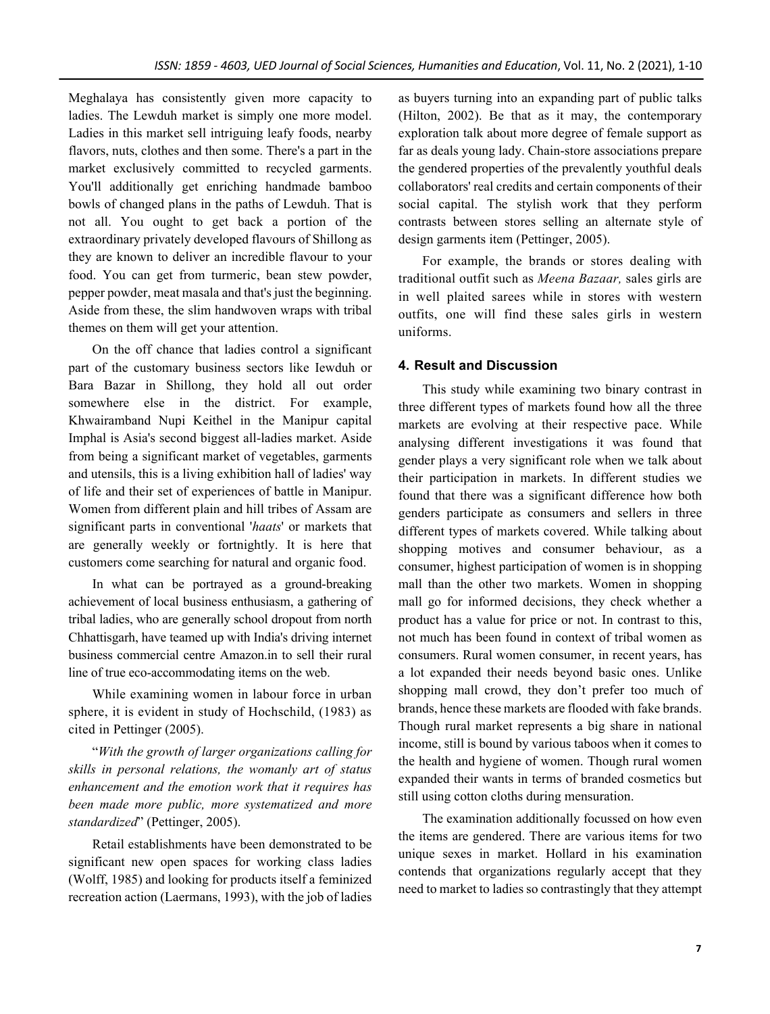Meghalaya has consistently given more capacity to ladies. The Lewduh market is simply one more model. Ladies in this market sell intriguing leafy foods, nearby flavors, nuts, clothes and then some. There's a part in the market exclusively committed to recycled garments. You'll additionally get enriching handmade bamboo bowls of changed plans in the paths of Lewduh. That is not all. You ought to get back a portion of the extraordinary privately developed flavours of Shillong as they are known to deliver an incredible flavour to your food. You can get from turmeric, bean stew powder, pepper powder, meat masala and that's just the beginning. Aside from these, the slim handwoven wraps with tribal themes on them will get your attention.

On the off chance that ladies control a significant part of the customary business sectors like Iewduh or Bara Bazar in Shillong, they hold all out order somewhere else in the district. For example, Khwairamband Nupi Keithel in the Manipur capital Imphal is Asia's second biggest all-ladies market. Aside from being a significant market of vegetables, garments and utensils, this is a living exhibition hall of ladies' way of life and their set of experiences of battle in Manipur. Women from different plain and hill tribes of Assam are significant parts in conventional '*haats*' or markets that are generally weekly or fortnightly. It is here that customers come searching for natural and organic food.

In what can be portrayed as a ground-breaking achievement of local business enthusiasm, a gathering of tribal ladies, who are generally school dropout from north Chhattisgarh, have teamed up with India's driving internet business commercial centre Amazon.in to sell their rural line of true eco-accommodating items on the web.

While examining women in labour force in urban sphere, it is evident in study of Hochschild, (1983) as cited in Pettinger (2005).

"*With the growth of larger organizations calling for skills in personal relations, the womanly art of status enhancement and the emotion work that it requires has been made more public, more systematized and more standardized*" (Pettinger, 2005).

Retail establishments have been demonstrated to be significant new open spaces for working class ladies (Wolff, 1985) and looking for products itself a feminized recreation action (Laermans, 1993), with the job of ladies

as buyers turning into an expanding part of public talks (Hilton, 2002). Be that as it may, the contemporary exploration talk about more degree of female support as far as deals young lady. Chain-store associations prepare the gendered properties of the prevalently youthful deals collaborators' real credits and certain components of their social capital. The stylish work that they perform contrasts between stores selling an alternate style of design garments item (Pettinger, 2005).

For example, the brands or stores dealing with traditional outfit such as *Meena Bazaar,* sales girls are in well plaited sarees while in stores with western outfits, one will find these sales girls in western uniforms.

# **4. Result and Discussion**

This study while examining two binary contrast in three different types of markets found how all the three markets are evolving at their respective pace. While analysing different investigations it was found that gender plays a very significant role when we talk about their participation in markets. In different studies we found that there was a significant difference how both genders participate as consumers and sellers in three different types of markets covered. While talking about shopping motives and consumer behaviour, as a consumer, highest participation of women is in shopping mall than the other two markets. Women in shopping mall go for informed decisions, they check whether a product has a value for price or not. In contrast to this, not much has been found in context of tribal women as consumers. Rural women consumer, in recent years, has a lot expanded their needs beyond basic ones. Unlike shopping mall crowd, they don't prefer too much of brands, hence these markets are flooded with fake brands. Though rural market represents a big share in national income, still is bound by various taboos when it comes to the health and hygiene of women. Though rural women expanded their wants in terms of branded cosmetics but still using cotton cloths during mensuration.

The examination additionally focussed on how even the items are gendered. There are various items for two unique sexes in market. Hollard in his examination contends that organizations regularly accept that they need to market to ladies so contrastingly that they attempt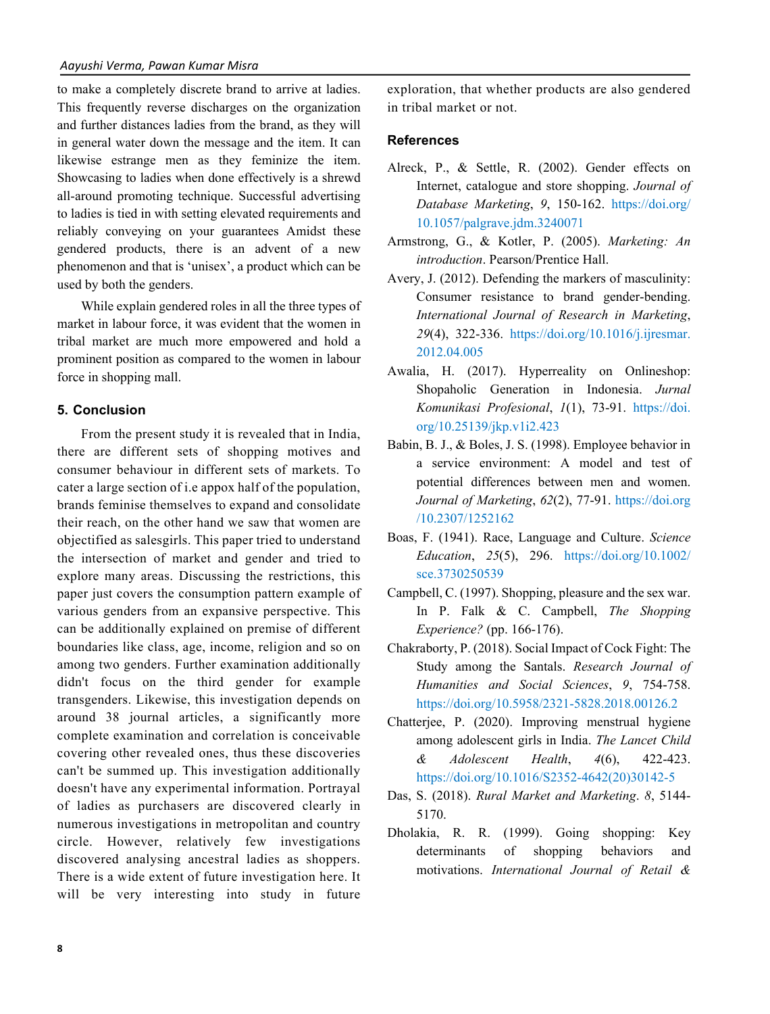to make a completely discrete brand to arrive at ladies. This frequently reverse discharges on the organization and further distances ladies from the brand, as they will in general water down the message and the item. It can likewise estrange men as they feminize the item. Showcasing to ladies when done effectively is a shrewd all-around promoting technique. Successful advertising to ladies is tied in with setting elevated requirements and reliably conveying on your guarantees Amidst these gendered products, there is an advent of a new phenomenon and that is 'unisex', a product which can be used by both the genders.

While explain gendered roles in all the three types of market in labour force, it was evident that the women in tribal market are much more empowered and hold a prominent position as compared to the women in labour force in shopping mall.

#### **5. Conclusion**

From the present study it is revealed that in India, there are different sets of shopping motives and consumer behaviour in different sets of markets. To cater a large section of i.e appox half of the population, brands feminise themselves to expand and consolidate their reach, on the other hand we saw that women are objectified as salesgirls. This paper tried to understand the intersection of market and gender and tried to explore many areas. Discussing the restrictions, this paper just covers the consumption pattern example of various genders from an expansive perspective. This can be additionally explained on premise of different boundaries like class, age, income, religion and so on among two genders. Further examination additionally didn't focus on the third gender for example transgenders. Likewise, this investigation depends on around 38 journal articles, a significantly more complete examination and correlation is conceivable covering other revealed ones, thus these discoveries can't be summed up. This investigation additionally doesn't have any experimental information. Portrayal of ladies as purchasers are discovered clearly in numerous investigations in metropolitan and country circle. However, relatively few investigations discovered analysing ancestral ladies as shoppers. There is a wide extent of future investigation here. It will be very interesting into study in future exploration, that whether products are also gendered in tribal market or not.

#### **References**

- Alreck, P., & Settle, R. (2002). Gender effects on Internet, catalogue and store shopping. *Journal of Database Marketing*, *9*, 150-162. https://doi.org/ 10.1057/palgrave.jdm.3240071
- Armstrong, G., & Kotler, P. (2005). *Marketing: An introduction*. Pearson/Prentice Hall.
- Avery, J. (2012). Defending the markers of masculinity: Consumer resistance to brand gender-bending. *International Journal of Research in Marketing*, *29*(4), 322-336. https://doi.org/10.1016/j.ijresmar. 2012.04.005
- Awalia, H. (2017). Hyperreality on Onlineshop: Shopaholic Generation in Indonesia. *Jurnal Komunikasi Profesional*, *1*(1), 73-91. https://doi. org/10.25139/jkp.v1i2.423
- Babin, B. J., & Boles, J. S. (1998). Employee behavior in a service environment: A model and test of potential differences between men and women. *Journal of Marketing*, *62*(2), 77-91. https://doi.org /10.2307/1252162
- Boas, F. (1941). Race, Language and Culture. *Science Education*, *25*(5), 296. https://doi.org/10.1002/ sce.3730250539
- Campbell, C. (1997). Shopping, pleasure and the sex war. In P. Falk & C. Campbell, *The Shopping Experience?* (pp. 166-176).
- Chakraborty, P. (2018). Social Impact of Cock Fight: The Study among the Santals. *Research Journal of Humanities and Social Sciences*, *9*, 754-758. https://doi.org/10.5958/2321-5828.2018.00126.2
- Chatterjee, P. (2020). Improving menstrual hygiene among adolescent girls in India. *The Lancet Child & Adolescent Health*, *4*(6), 422-423. https://doi.org/10.1016/S2352-4642(20)30142-5
- Das, S. (2018). *Rural Market and Marketing*. *8*, 5144- 5170.
- Dholakia, R. R. (1999). Going shopping: Key determinants of shopping behaviors and motivations. *International Journal of Retail &*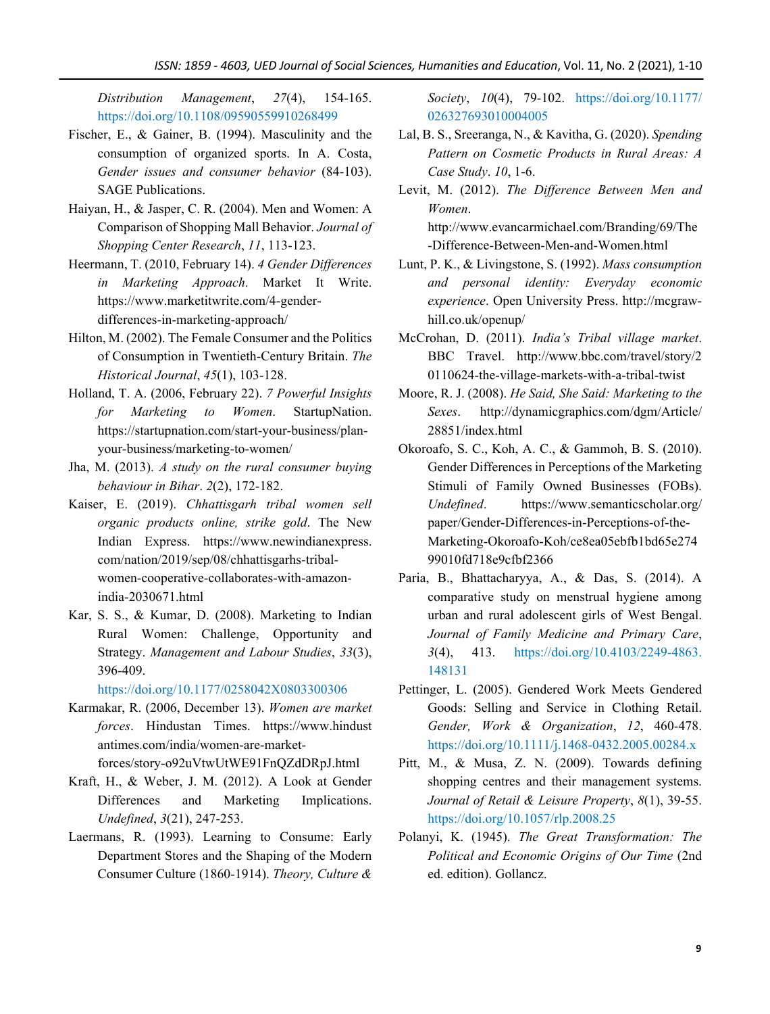*Distribution Management*, *27*(4), 154-165. https://doi.org/10.1108/09590559910268499

- Fischer, E., & Gainer, B. (1994). Masculinity and the consumption of organized sports. In A. Costa, *Gender issues and consumer behavior* (84-103). SAGE Publications.
- Haiyan, H., & Jasper, C. R. (2004). Men and Women: A Comparison of Shopping Mall Behavior. *Journal of Shopping Center Research*, *11*, 113-123.
- Heermann, T. (2010, February 14). *4 Gender Differences in Marketing Approach*. Market It Write. https://www.marketitwrite.com/4-genderdifferences-in-marketing-approach/
- Hilton, M. (2002). The Female Consumer and the Politics of Consumption in Twentieth-Century Britain. *The Historical Journal*, *45*(1), 103-128.
- Holland, T. A. (2006, February 22). *7 Powerful Insights for Marketing to Women*. StartupNation. https://startupnation.com/start-your-business/planyour-business/marketing-to-women/
- Jha, M. (2013). *A study on the rural consumer buying behaviour in Bihar*. *2*(2), 172-182.
- Kaiser, E. (2019). *Chhattisgarh tribal women sell organic products online, strike gold*. The New Indian Express. https://www.newindianexpress. com/nation/2019/sep/08/chhattisgarhs-tribalwomen-cooperative-collaborates-with-amazonindia-2030671.html
- Kar, S. S., & Kumar, D. (2008). Marketing to Indian Rural Women: Challenge, Opportunity and Strategy. *Management and Labour Studies*, *33*(3), 396-409.

https://doi.org/10.1177/0258042X0803300306

- Karmakar, R. (2006, December 13). *Women are market forces*. Hindustan Times. https://www.hindust antimes.com/india/women-are-marketforces/story-o92uVtwUtWE91FnQZdDRpJ.html
- Kraft, H., & Weber, J. M. (2012). A Look at Gender Differences and Marketing Implications. *Undefined*, *3*(21), 247-253.
- Laermans, R. (1993). Learning to Consume: Early Department Stores and the Shaping of the Modern Consumer Culture (1860-1914). *Theory, Culture &*

*Society*, *10*(4), 79-102. https://doi.org/10.1177/ 026327693010004005

- Lal, B. S., Sreeranga, N., & Kavitha, G. (2020). *Spending Pattern on Cosmetic Products in Rural Areas: A Case Study*. *10*, 1-6.
- Levit, M. (2012). *The Difference Between Men and Women*. http://www.evancarmichael.com/Branding/69/The

-Difference-Between-Men-and-Women.html

- Lunt, P. K., & Livingstone, S. (1992). *Mass consumption and personal identity: Everyday economic experience*. Open University Press. http://mcgrawhill.co.uk/openup/
- McCrohan, D. (2011). *India's Tribal village market*. BBC Travel. http://www.bbc.com/travel/story/2 0110624-the-village-markets-with-a-tribal-twist
- Moore, R. J. (2008). *He Said, She Said: Marketing to the Sexes*. http://dynamicgraphics.com/dgm/Article/ 28851/index.html
- Okoroafo, S. C., Koh, A. C., & Gammoh, B. S. (2010). Gender Differences in Perceptions of the Marketing Stimuli of Family Owned Businesses (FOBs). *Undefined*. https://www.semanticscholar.org/ paper/Gender-Differences-in-Perceptions-of-the-Marketing-Okoroafo-Koh/ce8ea05ebfb1bd65e274 99010fd718e9cfbf2366
- Paria, B., Bhattacharyya, A., & Das, S. (2014). A comparative study on menstrual hygiene among urban and rural adolescent girls of West Bengal. *Journal of Family Medicine and Primary Care*, *3*(4), 413. https://doi.org/10.4103/2249-4863. 148131
- Pettinger, L. (2005). Gendered Work Meets Gendered Goods: Selling and Service in Clothing Retail. *Gender, Work & Organization*, *12*, 460-478. https://doi.org/10.1111/j.1468-0432.2005.00284.x
- Pitt, M., & Musa, Z. N. (2009). Towards defining shopping centres and their management systems. *Journal of Retail & Leisure Property*, *8*(1), 39-55. https://doi.org/10.1057/rlp.2008.25
- Polanyi, K. (1945). *The Great Transformation: The Political and Economic Origins of Our Time* (2nd ed. edition). Gollancz.